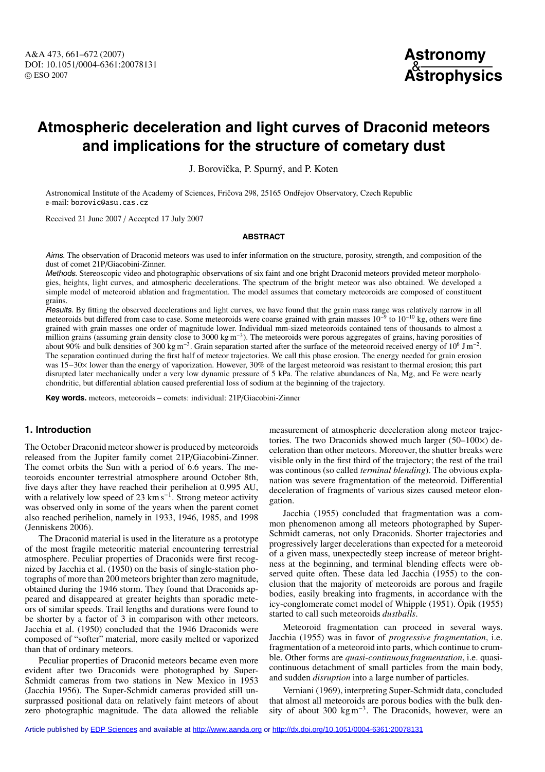A&A 473, 661–672 (2007) DOI: 10.1051/0004-6361:20078131 c ESO 2007



# **Atmospheric deceleration and light curves of Draconid meteors and implications for the structure of cometary dust**

J. Borovička, P. Spurný, and P. Koten

Astronomical Institute of the Academy of Sciences, Fričova 298, 25165 Ondřejov Observatory, Czech Republic e-mail: borovic@asu.cas.cz

Received 21 June 2007 / Accepted 17 July 2007

## **ABSTRACT**

Aims. The observation of Draconid meteors was used to infer information on the structure, porosity, strength, and composition of the dust of comet 21P/Giacobini-Zinner.

Methods. Stereoscopic video and photographic observations of six faint and one bright Draconid meteors provided meteor morphologies, heights, light curves, and atmospheric decelerations. The spectrum of the bright meteor was also obtained. We developed a simple model of meteoroid ablation and fragmentation. The model assumes that cometary meteoroids are composed of constituent grains.

Results. By fitting the observed decelerations and light curves, we have found that the grain mass range was relatively narrow in all meteoroids but differed from case to case. Some meteoroids were coarse grained with grain masses  $10^{-9}$  to  $10^{-10}$  kg, others were fine grained with grain masses one order of magnitude lower. Individual mm-sized meteoroids contained tens of thousands to almost a million grains (assuming grain density close to 3000 kg m−3). The meteoroids were porous aggregates of grains, having porosities of about 90% and bulk densities of 300 kg m−3. Grain separation started after the surface of the meteoroid received energy of 106 J m−2. The separation continued during the first half of meteor trajectories. We call this phase erosion. The energy needed for grain erosion was 15−30× lower than the energy of vaporization. However, 30% of the largest meteoroid was resistant to thermal erosion; this part disrupted later mechanically under a very low dynamic pressure of 5 kPa. The relative abundances of Na, Mg, and Fe were nearly chondritic, but differential ablation caused preferential loss of sodium at the beginning of the trajectory.

**Key words.** meteors, meteoroids – comets: individual: 21P/Giacobini-Zinner

# **1. Introduction**

The October Draconid meteor shower is produced by meteoroids released from the Jupiter family comet 21P/Giacobini-Zinner. The comet orbits the Sun with a period of 6.6 years. The meteoroids encounter terrestrial atmosphere around October 8th, five days after they have reached their perihelion at 0.995 AU, with a relatively low speed of 23 km s<sup> $-1$ </sup>. Strong meteor activity was observed only in some of the years when the parent comet also reached perihelion, namely in 1933, 1946, 1985, and 1998 (Jenniskens 2006).

The Draconid material is used in the literature as a prototype of the most fragile meteoritic material encountering terrestrial atmosphere. Peculiar properties of Draconids were first recognized by Jacchia et al. (1950) on the basis of single-station photographs of more than 200 meteors brighter than zero magnitude, obtained during the 1946 storm. They found that Draconids appeared and disappeared at greater heights than sporadic meteors of similar speeds. Trail lengths and durations were found to be shorter by a factor of 3 in comparison with other meteors. Jacchia et al. (1950) concluded that the 1946 Draconids were composed of "softer" material, more easily melted or vaporized than that of ordinary meteors.

Peculiar properties of Draconid meteors became even more evident after two Draconids were photographed by Super-Schmidt cameras from two stations in New Mexico in 1953 (Jacchia 1956). The Super-Schmidt cameras provided still unsurprassed positional data on relatively faint meteors of about zero photographic magnitude. The data allowed the reliable

measurement of atmospheric deceleration along meteor trajectories. The two Draconids showed much larger (50–100×) deceleration than other meteors. Moreover, the shutter breaks were visible only in the first third of the trajectory; the rest of the trail was continous (so called *terminal blending*). The obvious explanation was severe fragmentation of the meteoroid. Differential deceleration of fragments of various sizes caused meteor elongation.

Jacchia (1955) concluded that fragmentation was a common phenomenon among all meteors photographed by Super-Schmidt cameras, not only Draconids. Shorter trajectories and progressively larger decelerations than expected for a meteoroid of a given mass, unexpectedly steep increase of meteor brightness at the beginning, and terminal blending effects were observed quite often. These data led Jacchia (1955) to the conclusion that the majority of meteoroids are porous and fragile bodies, easily breaking into fragments, in accordance with the icy-conglomerate comet model of Whipple (1951). Öpik (1955) started to call such meteoroids *dustballs*.

Meteoroid fragmentation can proceed in several ways. Jacchia (1955) was in favor of *progressive fragmentation*, i.e. fragmentation of a meteoroid into parts, which continue to crumble. Other forms are *quasi-continuous fragmentation*, i.e. quasicontinuous detachment of small particles from the main body, and sudden *disruption* into a large number of particles.

Verniani (1969), interpreting Super-Schmidt data, concluded that almost all meteoroids are porous bodies with the bulk density of about 300 kg m−3. The Draconids, however, were an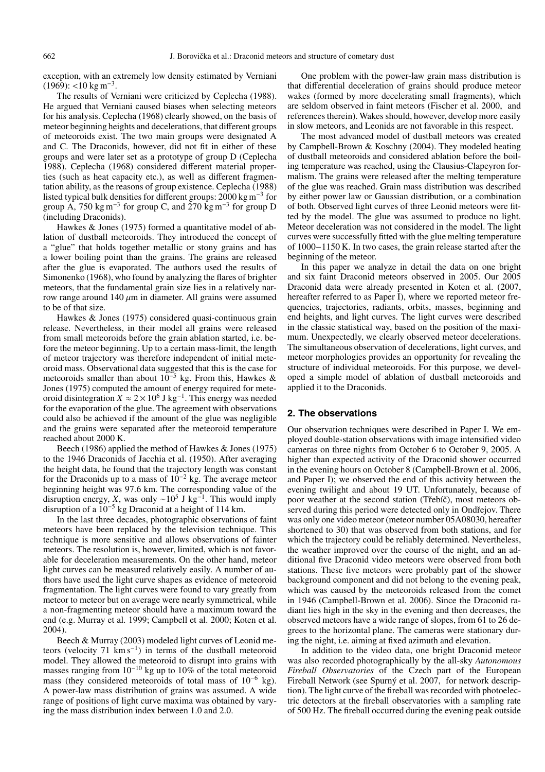exception, with an extremely low density estimated by Verniani  $(1969):$  <10 kg m<sup>-3</sup>.

The results of Verniani were criticized by Ceplecha (1988). He argued that Verniani caused biases when selecting meteors for his analysis. Ceplecha (1968) clearly showed, on the basis of meteor beginning heights and decelerations, that different groups of meteoroids exist. The two main groups were designated A and C. The Draconids, however, did not fit in either of these groups and were later set as a prototype of group D (Ceplecha 1988). Ceplecha (1968) considered different material properties (such as heat capacity etc.), as well as different fragmentation ability, as the reasons of group existence. Ceplecha (1988) listed typical bulk densities for different groups: 2000 kg m−<sup>3</sup> for group A, 750 kg m<sup>-3</sup> for group C, and 270 kg m<sup>-3</sup> for group D (including Draconids).

Hawkes & Jones (1975) formed a quantitative model of ablation of dustball meteoroids. They introduced the concept of a "glue" that holds together metallic or stony grains and has a lower boiling point than the grains. The grains are released after the glue is evaporated. The authors used the results of Simonenko (1968), who found by analyzing the flares of brighter meteors, that the fundamental grain size lies in a relatively narrow range around 140  $\mu$ m in diameter. All grains were assumed to be of that size.

Hawkes & Jones (1975) considered quasi-continuous grain release. Nevertheless, in their model all grains were released from small meteoroids before the grain ablation started, i.e. before the meteor beginning. Up to a certain mass-limit, the length of meteor trajectory was therefore independent of initial meteoroid mass. Observational data suggested that this is the case for meteoroids smaller than about  $10^{-5}$  kg. From this, Hawkes & Jones (1975) computed the amount of energy required for meteoroid disintegration  $X \approx 2 \times 10^6$  J kg<sup>-1</sup>. This energy was needed for the evaporation of the glue. The agreement with observations could also be achieved if the amount of the glue was negligible and the grains were separated after the meteoroid temperature reached about 2000 K.

Beech (1986) applied the method of Hawkes & Jones (1975) to the 1946 Draconids of Jacchia et al. (1950). After averaging the height data, he found that the trajectory length was constant for the Draconids up to a mass of  $10^{-2}$  kg. The average meteor beginning height was 97.6 km. The corresponding value of the disruption energy, *X*, was only ~10<sup>5</sup> J kg<sup>-1</sup>. This would imply disruption of a  $10^{-5}$  kg Draconid at a height of 114 km.

In the last three decades, photographic observations of faint meteors have been replaced by the television technique. This technique is more sensitive and allows observations of fainter meteors. The resolution is, however, limited, which is not favorable for deceleration measurements. On the other hand, meteor light curves can be measured relatively easily. A number of authors have used the light curve shapes as evidence of meteoroid fragmentation. The light curves were found to vary greatly from meteor to meteor but on average were nearly symmetrical, while a non-fragmenting meteor should have a maximum toward the end (e.g. Murray et al. 1999; Campbell et al. 2000; Koten et al. 2004).

Beech & Murray (2003) modeled light curves of Leonid meteors (velocity 71 km s<sup>-1</sup>) in terms of the dustball meteoroid model. They allowed the meteoroid to disrupt into grains with masses ranging from 10−<sup>10</sup> kg up to 10% of the total meteoroid mass (they considered meteoroids of total mass of 10<sup>−6</sup> kg). A power-law mass distribution of grains was assumed. A wide range of positions of light curve maxima was obtained by varying the mass distribution index between 1.0 and 2.0.

One problem with the power-law grain mass distribution is that differential deceleration of grains should produce meteor wakes (formed by more decelerating small fragments), which are seldom observed in faint meteors (Fischer et al. 2000, and references therein). Wakes should, however, develop more easily in slow meteors, and Leonids are not favorable in this respect.

The most advanced model of dustball meteors was created by Campbell-Brown & Koschny (2004). They modeled heating of dustball meteoroids and considered ablation before the boiling temperature was reached, using the Clausius-Clapeyron formalism. The grains were released after the melting temperature of the glue was reached. Grain mass distribution was described by either power law or Gaussian distribution, or a combination of both. Observed light curves of three Leonid meteors were fitted by the model. The glue was assumed to produce no light. Meteor deceleration was not considered in the model. The light curves were successfully fitted with the glue melting temperature of 1000−1150 K. In two cases, the grain release started after the beginning of the meteor.

In this paper we analyze in detail the data on one bright and six faint Draconid meteors observed in 2005. Our 2005 Draconid data were already presented in Koten et al. (2007, hereafter referred to as Paper I), where we reported meteor frequencies, trajectories, radiants, orbits, masses, beginning and end heights, and light curves. The light curves were described in the classic statistical way, based on the position of the maximum. Unexpectedly, we clearly observed meteor decelerations. The simultaneous observation of decelerations, light curves, and meteor morphologies provides an opportunity for revealing the structure of individual meteoroids. For this purpose, we developed a simple model of ablation of dustball meteoroids and applied it to the Draconids.

#### **2. The observations**

Our observation techniques were described in Paper I. We employed double-station observations with image intensified video cameras on three nights from October 6 to October 9, 2005. A higher than expected activity of the Draconid shower occurred in the evening hours on October 8 (Campbell-Brown et al. 2006, and Paper I); we observed the end of this activity between the evening twilight and about 19 UT. Unfortunately, because of poor weather at the second station (Třebíč), most meteors observed during this period were detected only in Ondřejov. There was only one video meteor (meteor number 05A08030, hereafter shortened to 30) that was observed from both stations, and for which the trajectory could be reliably determined. Nevertheless, the weather improved over the course of the night, and an additional five Draconid video meteors were observed from both stations. These five meteors were probably part of the shower background component and did not belong to the evening peak, which was caused by the meteoroids released from the comet in 1946 (Campbell-Brown et al. 2006). Since the Draconid radiant lies high in the sky in the evening and then decreases, the observed meteors have a wide range of slopes, from 61 to 26 degrees to the horizontal plane. The cameras were stationary during the night, i.e. aiming at fixed azimuth and elevation.

In addition to the video data, one bright Draconid meteor was also recorded photographically by the all-sky *Autonomous Fireball Observatories* of the Czech part of the European Fireball Network (see Spurný et al. 2007, for network description). The light curve of the fireball was recorded with photoelectric detectors at the fireball observatories with a sampling rate of 500 Hz. The fireball occurred during the evening peak outside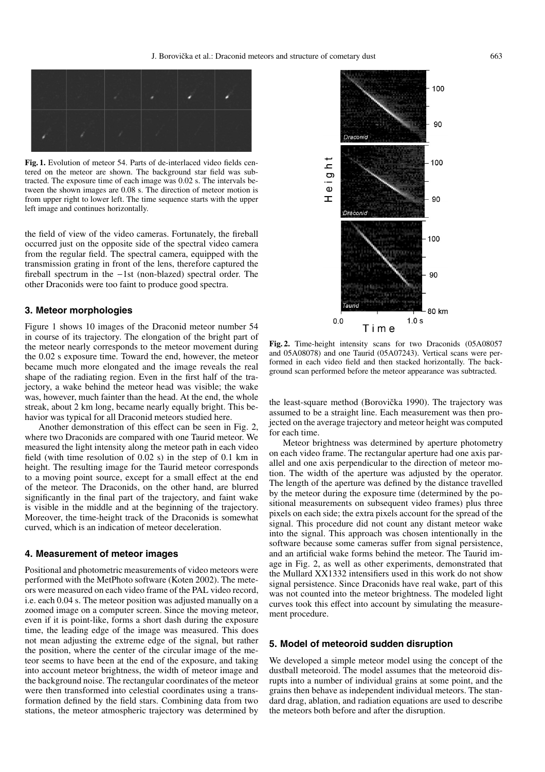

**Fig. 1.** Evolution of meteor 54. Parts of de-interlaced video fields centered on the meteor are shown. The background star field was subtracted. The exposure time of each image was 0.02 s. The intervals between the shown images are 0.08 s. The direction of meteor motion is from upper right to lower left. The time sequence starts with the upper left image and continues horizontally.

the field of view of the video cameras. Fortunately, the fireball occurred just on the opposite side of the spectral video camera from the regular field. The spectral camera, equipped with the transmission grating in front of the lens, therefore captured the fireball spectrum in the −1st (non-blazed) spectral order. The other Draconids were too faint to produce good spectra.

## **3. Meteor morphologies**

Figure 1 shows 10 images of the Draconid meteor number 54 in course of its trajectory. The elongation of the bright part of the meteor nearly corresponds to the meteor movement during the 0.02 s exposure time. Toward the end, however, the meteor became much more elongated and the image reveals the real shape of the radiating region. Even in the first half of the trajectory, a wake behind the meteor head was visible; the wake was, however, much fainter than the head. At the end, the whole streak, about 2 km long, became nearly equally bright. This behavior was typical for all Draconid meteors studied here.

Another demonstration of this effect can be seen in Fig. 2, where two Draconids are compared with one Taurid meteor. We measured the light intensity along the meteor path in each video field (with time resolution of 0.02 s) in the step of 0.1 km in height. The resulting image for the Taurid meteor corresponds to a moving point source, except for a small effect at the end of the meteor. The Draconids, on the other hand, are blurred significantly in the final part of the trajectory, and faint wake is visible in the middle and at the beginning of the trajectory. Moreover, the time-height track of the Draconids is somewhat curved, which is an indication of meteor deceleration.

## **4. Measurement of meteor images**

Positional and photometric measurements of video meteors were performed with the MetPhoto software (Koten 2002). The meteors were measured on each video frame of the PAL video record, i.e. each 0.04 s. The meteor position was adjusted manually on a zoomed image on a computer screen. Since the moving meteor, even if it is point-like, forms a short dash during the exposure time, the leading edge of the image was measured. This does not mean adjusting the extreme edge of the signal, but rather the position, where the center of the circular image of the meteor seems to have been at the end of the exposure, and taking into account meteor brightness, the width of meteor image and the background noise. The rectangular coordinates of the meteor were then transformed into celestial coordinates using a transformation defined by the field stars. Combining data from two stations, the meteor atmospheric trajectory was determined by



**Fig. 2.** Time-height intensity scans for two Draconids (05A08057 and 05A08078) and one Taurid (05A07243). Vertical scans were performed in each video field and then stacked horizontally. The background scan performed before the meteor appearance was subtracted.

the least-square method (Borovička 1990). The trajectory was assumed to be a straight line. Each measurement was then projected on the average trajectory and meteor height was computed for each time.

Meteor brightness was determined by aperture photometry on each video frame. The rectangular aperture had one axis parallel and one axis perpendicular to the direction of meteor motion. The width of the aperture was adjusted by the operator. The length of the aperture was defined by the distance travelled by the meteor during the exposure time (determined by the positional measurements on subsequent video frames) plus three pixels on each side; the extra pixels account for the spread of the signal. This procedure did not count any distant meteor wake into the signal. This approach was chosen intentionally in the software because some cameras suffer from signal persistence, and an artificial wake forms behind the meteor. The Taurid image in Fig. 2, as well as other experiments, demonstrated that the Mullard XX1332 intensifiers used in this work do not show signal persistence. Since Draconids have real wake, part of this was not counted into the meteor brightness. The modeled light curves took this effect into account by simulating the measurement procedure.

## **5. Model of meteoroid sudden disruption**

We developed a simple meteor model using the concept of the dustball meteoroid. The model assumes that the meteoroid disrupts into a number of individual grains at some point, and the grains then behave as independent individual meteors. The standard drag, ablation, and radiation equations are used to describe the meteors both before and after the disruption.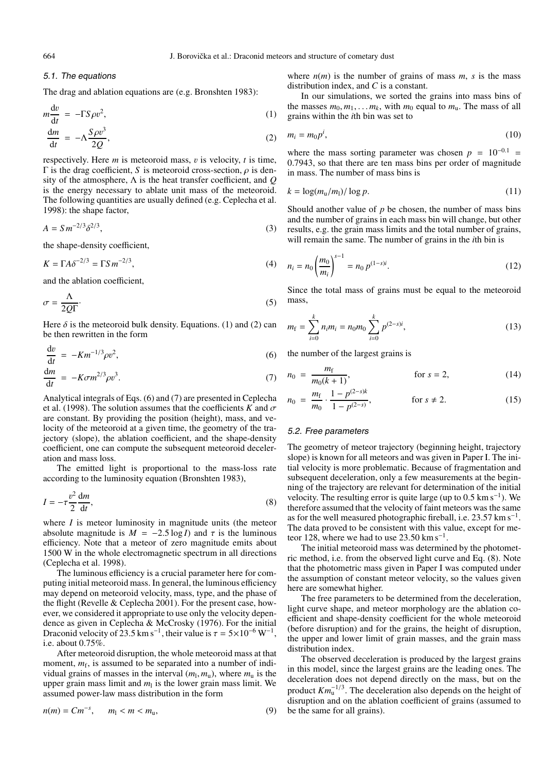## 5.1. The equations

The drag and ablation equations are (e.g. Bronshten 1983):

$$
m\frac{dv}{dt} = -\Gamma S \rho v^2,
$$
  
\n
$$
\frac{dm}{dt} = -\Lambda \frac{S \rho v^3}{2Q},
$$
\n(1)

respectively. Here *m* is meteoroid mass, v is velocity, *t* is time,  $Γ$  is the drag coefficient, *S* is meteoroid cross-section,  $ρ$  is density of the atmosphere, Λ is the heat transfer coefficient, and *Q* is the energy necessary to ablate unit mass of the meteoroid. The following quantities are usually defined (e.g. Ceplecha et al. 1998): the shape factor,

$$
A = S m^{-2/3} \delta^{2/3},
$$
 (3)

the shape-density coefficient,

$$
K = \Gamma A \delta^{-2/3} = \Gamma S m^{-2/3},\tag{4}
$$

and the ablation coefficient,

$$
\sigma = \frac{\Lambda}{2Q\Gamma}.\tag{5}
$$

Here  $\delta$  is the meteoroid bulk density. Equations. (1) and (2) can be then rewritten in the form

$$
\frac{\mathrm{d}v}{\mathrm{d}t} = -Km^{-1/3}\rho v^2,\tag{6}
$$

$$
\frac{\mathrm{d}m}{\mathrm{d}t} = -K\sigma m^{2/3} \rho v^3. \tag{7}
$$

Analytical integrals of Eqs. (6) and (7) are presented in Ceplecha et al. (1998). The solution assumes that the coefficients *K* and  $\sigma$ are constant. By providing the position (height), mass, and velocity of the meteoroid at a given time, the geometry of the trajectory (slope), the ablation coefficient, and the shape-density coefficient, one can compute the subsequent meteoroid deceleration and mass loss.

The emitted light is proportional to the mass-loss rate according to the luminosity equation (Bronshten 1983),

$$
I = -\tau \frac{v^2}{2} \frac{dm}{dt},\tag{8}
$$

where *I* is meteor luminosity in magnitude units (the meteor absolute magnitude is  $M = -2.5 \log I$  and  $\tau$  is the luminous efficiency. Note that a meteor of zero magnitude emits about 1500 W in the whole electromagnetic spectrum in all directions (Ceplecha et al. 1998).

The luminous efficiency is a crucial parameter here for computing initial meteoroid mass. In general, the luminous efficiency may depend on meteoroid velocity, mass, type, and the phase of the flight (Revelle & Ceplecha 2001). For the present case, however, we considered it appropriate to use only the velocity dependence as given in Ceplecha & McCrosky (1976). For the initial Draconid velocity of 23.5 km s<sup>-1</sup>, their value is  $\tau = 5 \times 10^{-6} \,\mathrm{W}^{-1}$ , i.e. about 0.75%.

After meteoroid disruption, the whole meteoroid mass at that moment,  $m_f$ , is assumed to be separated into a number of individual grains of masses in the interval  $(m_1, m_1)$ , where  $m_1$  is the upper grain mass limit and  $m<sub>l</sub>$  is the lower grain mass limit. We assumed power-law mass distribution in the form

$$
n(m) = Cm^{-s}, \qquad m_1 < m < m_u,\tag{9}
$$

where  $n(m)$  is the number of grains of mass  $m$ ,  $s$  is the mass distribution index, and *C* is a constant.

In our simulations, we sorted the grains into mass bins of the masses  $m_0, m_1, \ldots, m_k$ , with  $m_0$  equal to  $m_u$ . The mass of all grains within the *i*th bin was set to

$$
m_i = m_0 p^i, \tag{10}
$$

where the mass sorting parameter was chosen  $p = 10^{-0.1}$ 0.7943, so that there are ten mass bins per order of magnitude in mass. The number of mass bins is

$$
k = \log(m_{\rm u}/m_{\rm l})/\log p. \tag{11}
$$

Should another value of  $p$  be chosen, the number of mass bins and the number of grains in each mass bin will change, but other results, e.g. the grain mass limits and the total number of grains, will remain the same. The number of grains in the *i*th bin is

$$
n_i = n_0 \left(\frac{m_0}{m_i}\right)^{s-1} = n_0 p^{(1-s)i}.
$$
 (12)

Since the total mass of grains must be equal to the meteoroid mass,

$$
m_{\rm f} = \sum_{i=0}^{k} n_{i} m_{i} = n_{0} m_{0} \sum_{i=0}^{k} p^{(2-s)i}, \qquad (13)
$$

the number of the largest grains is

$$
n_0 = \frac{m_f}{m_0(k+1)}, \qquad \text{for } s = 2,
$$
 (14)

$$
n_0 = \frac{m_f}{m_0} \cdot \frac{1 - p^{(2-s)k}}{1 - p^{(2-s)}}, \qquad \text{for } s \neq 2.
$$
 (15)

#### 5.2. Free parameters

The geometry of meteor trajectory (beginning height, trajectory slope) is known for all meteors and was given in Paper I. The initial velocity is more problematic. Because of fragmentation and subsequent deceleration, only a few measurements at the beginning of the trajectory are relevant for determination of the initial velocity. The resulting error is quite large (up to  $0.5 \text{ km s}^{-1}$ ). We therefore assumed that the velocity of faint meteors was the same as for the well measured photographic fireball, i.e.  $23.57 \text{ km s}^{-1}$ . The data proved to be consistent with this value, except for meteor 128, where we had to use 23.50 km s<sup>-1</sup>.

The initial meteoroid mass was determined by the photometric method, i.e. from the observed light curve and Eq. (8). Note that the photometric mass given in Paper I was computed under the assumption of constant meteor velocity, so the values given here are somewhat higher.

The free parameters to be determined from the deceleration, light curve shape, and meteor morphology are the ablation coefficient and shape-density coefficient for the whole meteoroid (before disruption) and for the grains, the height of disruption, the upper and lower limit of grain masses, and the grain mass distribution index.

The observed deceleration is produced by the largest grains in this model, since the largest grains are the leading ones. The deceleration does not depend directly on the mass, but on the product  $Km<sub>u</sub><sup>-1/3</sup>$ . The deceleration also depends on the height of disruption and on the ablation coefficient of grains (assumed to be the same for all grains).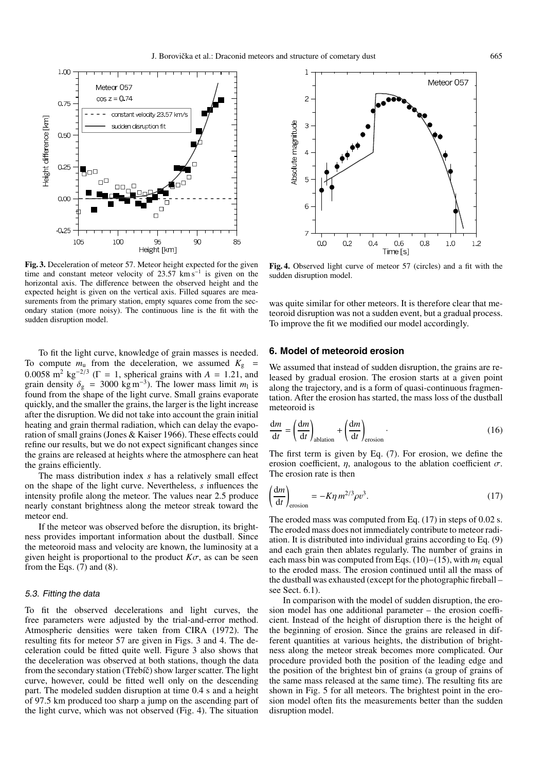

**Fig. 3.** Deceleration of meteor 57. Meteor height expected for the given time and constant meteor velocity of 23.57 km s<sup> $-1$ </sup> is given on the horizontal axis. The difference between the observed height and the expected height is given on the vertical axis. Filled squares are measurements from the primary station, empty squares come from the secondary station (more noisy). The continuous line is the fit with the sudden disruption model.

To fit the light curve, knowledge of grain masses is needed. To compute  $m_u$  from the deceleration, we assumed  $K_g$  = 0.0058 m<sup>2</sup> kg<sup>-2/3</sup> ( $\Gamma = 1$ , spherical grains with *A* = 1.21, and grain density  $\delta_g = 3000 \text{ kg m}^{-3}$ ). The lower mass limit  $m_1$  is found from the shape of the light curve. Small grains evaporate quickly, and the smaller the grains, the larger is the light increase after the disruption. We did not take into account the grain initial heating and grain thermal radiation, which can delay the evaporation of small grains (Jones & Kaiser 1966). These effects could refine our results, but we do not expect significant changes since the grains are released at heights where the atmosphere can heat the grains efficiently.

The mass distribution index *s* has a relatively small effect on the shape of the light curve. Nevertheless, *s* influences the intensity profile along the meteor. The values near 2.5 produce nearly constant brightness along the meteor streak toward the meteor end.

If the meteor was observed before the disruption, its brightness provides important information about the dustball. Since the meteoroid mass and velocity are known, the luminosity at a given height is proportional to the product  $K\sigma$ , as can be seen from the Eqs.  $(7)$  and  $(8)$ .

#### 5.3. Fitting the data

To fit the observed decelerations and light curves, the free parameters were adjusted by the trial-and-error method. Atmospheric densities were taken from CIRA (1972). The resulting fits for meteor 57 are given in Figs. 3 and 4. The deceleration could be fitted quite well. Figure 3 also shows that the deceleration was observed at both stations, though the data from the secondary station (Třebíč) show larger scatter. The light curve, however, could be fitted well only on the descending part. The modeled sudden disruption at time 0.4 s and a height of 97.5 km produced too sharp a jump on the ascending part of the light curve, which was not observed (Fig. 4). The situation



**Fig. 4.** Observed light curve of meteor 57 (circles) and a fit with the sudden disruption model.

was quite similar for other meteors. It is therefore clear that meteoroid disruption was not a sudden event, but a gradual process. To improve the fit we modified our model accordingly.

## **6. Model of meteoroid erosion**

We assumed that instead of sudden disruption, the grains are released by gradual erosion. The erosion starts at a given point along the trajectory, and is a form of quasi-continuous fragmentation. After the erosion has started, the mass loss of the dustball meteoroid is

$$
\frac{dm}{dt} = \left(\frac{dm}{dt}\right)_{\text{ablation}} + \left(\frac{dm}{dt}\right)_{\text{erosion}}.\tag{16}
$$

The first term is given by Eq. (7). For erosion, we define the erosion coefficient,  $\eta$ , analogous to the ablation coefficient  $\sigma$ . The erosion rate is then

$$
\left(\frac{\mathrm{d}m}{\mathrm{d}t}\right)_{\mathrm{erosion}} = -K\eta \, m^{2/3} \rho v^3. \tag{17}
$$

The eroded mass was computed from Eq. (17) in steps of 0.02 s. The eroded mass does not immediately contribute to meteor radiation. It is distributed into individual grains according to Eq. (9) and each grain then ablates regularly. The number of grains in each mass bin was computed from Eqs. (10)−(15), with *m*<sup>f</sup> equal to the eroded mass. The erosion continued until all the mass of the dustball was exhausted (except for the photographic fireball – see Sect. 6.1).

In comparison with the model of sudden disruption, the erosion model has one additional parameter – the erosion coefficient. Instead of the height of disruption there is the height of the beginning of erosion. Since the grains are released in different quantities at various heights, the distribution of brightness along the meteor streak becomes more complicated. Our procedure provided both the position of the leading edge and the position of the brightest bin of grains (a group of grains of the same mass released at the same time). The resulting fits are shown in Fig. 5 for all meteors. The brightest point in the erosion model often fits the measurements better than the sudden disruption model.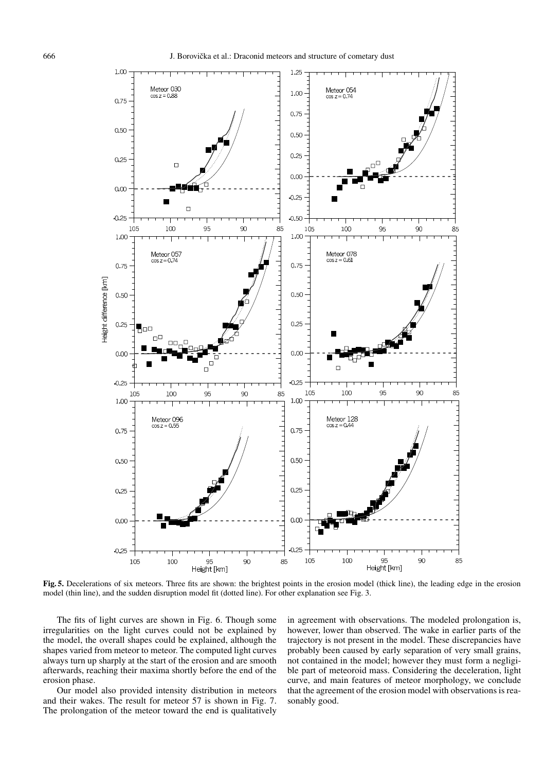

**Fig. 5.** Decelerations of six meteors. Three fits are shown: the brightest points in the erosion model (thick line), the leading edge in the erosion model (thin line), and the sudden disruption model fit (dotted line). For other explanation see Fig. 3.

The fits of light curves are shown in Fig. 6. Though some irregularities on the light curves could not be explained by the model, the overall shapes could be explained, although the shapes varied from meteor to meteor. The computed light curves always turn up sharply at the start of the erosion and are smooth afterwards, reaching their maxima shortly before the end of the erosion phase.

Our model also provided intensity distribution in meteors and their wakes. The result for meteor 57 is shown in Fig. 7. The prolongation of the meteor toward the end is qualitatively in agreement with observations. The modeled prolongation is, however, lower than observed. The wake in earlier parts of the trajectory is not present in the model. These discrepancies have probably been caused by early separation of very small grains, not contained in the model; however they must form a negligible part of meteoroid mass. Considering the deceleration, light curve, and main features of meteor morphology, we conclude that the agreement of the erosion model with observations is reasonably good.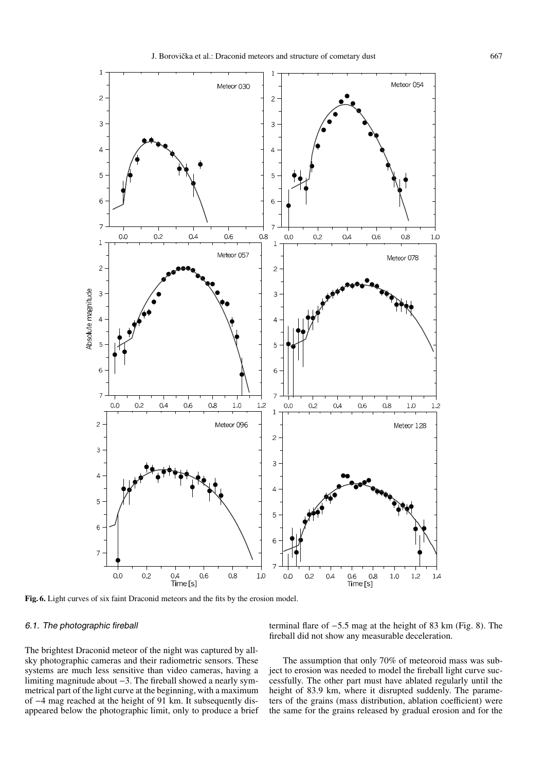

**Fig. 6.** Light curves of six faint Draconid meteors and the fits by the erosion model.

# 6.1. The photographic fireball

The brightest Draconid meteor of the night was captured by allsky photographic cameras and their radiometric sensors. These systems are much less sensitive than video cameras, having a limiting magnitude about −3. The fireball showed a nearly symmetrical part of the light curve at the beginning, with a maximum of −4 mag reached at the height of 91 km. It subsequently disappeared below the photographic limit, only to produce a brief

terminal flare of −5.5 mag at the height of 83 km (Fig. 8). The fireball did not show any measurable deceleration.

The assumption that only 70% of meteoroid mass was subject to erosion was needed to model the fireball light curve successfully. The other part must have ablated regularly until the height of 83.9 km, where it disrupted suddenly. The parameters of the grains (mass distribution, ablation coefficient) were the same for the grains released by gradual erosion and for the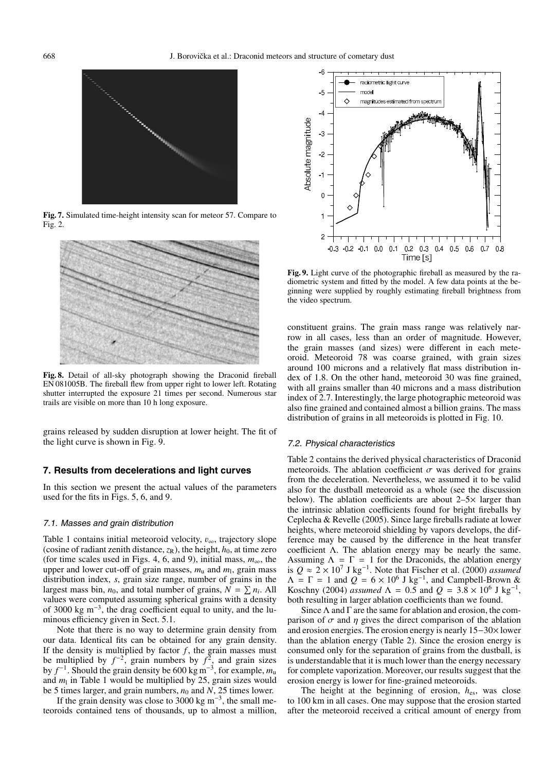

**Fig. 7.** Simulated time-height intensity scan for meteor 57. Compare to Fig. 2.



**Fig. 8.** Detail of all-sky photograph showing the Draconid fireball EN 081005B. The fireball flew from upper right to lower left. Rotating shutter interrupted the exposure 21 times per second. Numerous star trails are visible on more than 10 h long exposure.

grains released by sudden disruption at lower height. The fit of the light curve is shown in Fig. 9.

## **7. Results from decelerations and light curves**

In this section we present the actual values of the parameters used for the fits in Figs. 5, 6, and 9.

#### 7.1. Masses and grain distribution

Table 1 contains initial meteoroid velocity,  $v_{\infty}$ , trajectory slope (cosine of radiant zenith distance,  $z_R$ ), the height,  $h_0$ , at time zero (for time scales used in Figs. 4, 6, and 9), initial mass,  $m_{\infty}$ , the upper and lower cut-off of grain masses,  $m_u$  and  $m_l$ , grain mass distribution index, *s*, grain size range, number of grains in the largest mass bin,  $n_0$ , and total number of grains,  $N = \sum n_i$ . All values were computed assuming spherical grains with a density of 3000 kg m−3, the drag coefficient equal to unity, and the luminous efficiency given in Sect. 5.1.

Note that there is no way to determine grain density from our data. Identical fits can be obtained for any grain density. If the density is multiplied by factor  $f$ , the grain masses must be multiplied by  $f^{-2}$ , grain numbers by  $f^2$ , and grain sizes by *f* <sup>−</sup>1. Should the grain density be 600 kg m−3, for example, *m*<sup>u</sup> and  $m<sub>1</sub>$  in Table 1 would be multiplied by 25, grain sizes would be 5 times larger, and grain numbers,  $n_0$  and  $N$ , 25 times lower.

If the grain density was close to 3000 kg m<sup>-3</sup>, the small meteoroids contained tens of thousands, up to almost a million,



**Fig. 9.** Light curve of the photographic fireball as measured by the radiometric system and fitted by the model. A few data points at the beginning were supplied by roughly estimating fireball brightness from the video spectrum.

constituent grains. The grain mass range was relatively narrow in all cases, less than an order of magnitude. However, the grain masses (and sizes) were different in each meteoroid. Meteoroid 78 was coarse grained, with grain sizes around 100 microns and a relatively flat mass distribution index of 1.8. On the other hand, meteoroid 30 was fine grained, with all grains smaller than 40 microns and a mass distribution index of 2.7. Interestingly, the large photographic meteoroid was also fine grained and contained almost a billion grains. The mass distribution of grains in all meteoroids is plotted in Fig. 10.

#### 7.2. Physical characteristics

Table 2 contains the derived physical characteristics of Draconid meteoroids. The ablation coefficient  $\sigma$  was derived for grains from the deceleration. Nevertheless, we assumed it to be valid also for the dustball meteoroid as a whole (see the discussion below). The ablation coefficients are about 2–5× larger than the intrinsic ablation coefficients found for bright fireballs by Ceplecha & Revelle (2005). Since large fireballs radiate at lower heights, where meteoroid shielding by vapors develops, the difference may be caused by the difference in the heat transfer coefficient Λ. The ablation energy may be nearly the same. Assuming  $\Lambda = \Gamma = 1$  for the Draconids, the ablation energy is  $Q \approx 2 \times 10^7$  J kg<sup>-1</sup>. Note that Fischer et al. (2000) *assumed*  $\Lambda = \Gamma = 1$  and  $\overline{Q} = 6 \times 10^6$  J kg<sup>-1</sup>, and Campbell-Brown & Koschny (2004) *assumed*  $\Lambda = 0.5$  and  $Q = 3.8 \times 10^6$  J kg<sup>-1</sup>, both resulting in larger ablation coefficients than we found.

Since  $\Lambda$  and  $\Gamma$  are the same for ablation and erosion, the comparison of  $\sigma$  and  $\eta$  gives the direct comparison of the ablation and erosion energies. The erosion energy is nearly 15−30× lower than the ablation energy (Table 2). Since the erosion energy is consumed only for the separation of grains from the dustball, is is understandable that it is much lower than the energy necessary for complete vaporization. Moreover, our results suggest that the erosion energy is lower for fine-grained meteoroids.

The height at the beginning of erosion, *h*es, was close to 100 km in all cases. One may suppose that the erosion started after the meteoroid received a critical amount of energy from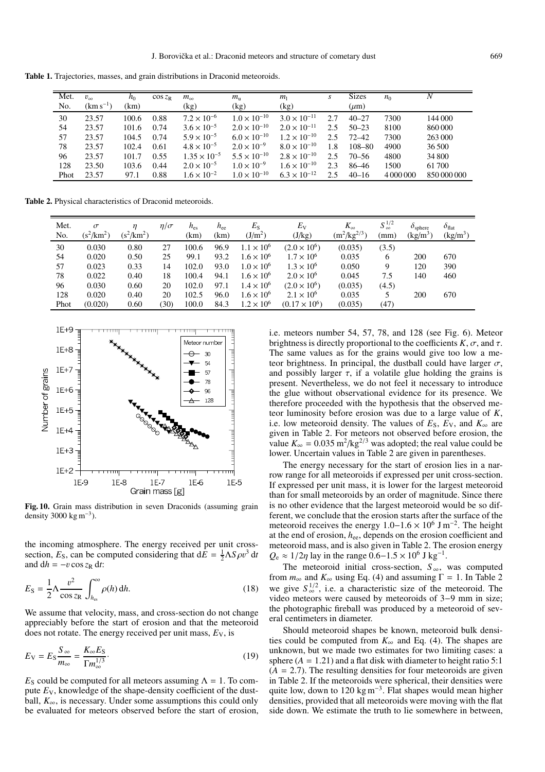**Table 1.** Trajectories, masses, and grain distributions in Draconid meteoroids.

| Met.<br>No. | $v_{\infty}$<br>$(km s^{-1})$ | $h_0$<br>(km) | $\cos z_R$ | $m_{\infty}$<br>(kg)  | $m_{\rm u}$<br>(kg)   | m <sub>l</sub><br>(kg) | S   | <b>Sizes</b><br>$(\mu m)$ | n <sub>0</sub> |             |
|-------------|-------------------------------|---------------|------------|-----------------------|-----------------------|------------------------|-----|---------------------------|----------------|-------------|
| 30          | 23.57                         | 100.6         | 0.88       | $7.2 \times 10^{-6}$  | $1.0 \times 10^{-10}$ | $3.0 \times 10^{-11}$  | 2.7 | $40 - 27$                 | 7300           | 144 000     |
| 54          | 23.57                         | 101.6         | 0.74       | $3.6 \times 10^{-5}$  | $2.0 \times 10^{-10}$ | $2.0 \times 10^{-11}$  | 2.5 | $50 - 23$                 | 8100           | 860 000     |
| 57          | 23.57                         | 104.5         | 0.74       | $5.9 \times 10^{-5}$  | $6.0 \times 10^{-10}$ | $1.2 \times 10^{-10}$  | 2.5 | $72 - 42$                 | 7300           | 263 000     |
| 78          | 23.57                         | 102.4         | 0.61       | $4.8 \times 10^{-5}$  | $2.0 \times 10^{-9}$  | $8.0 \times 10^{-10}$  | 1.8 | 108-80                    | 4900           | 36 500      |
| 96          | 23.57                         | 101.7         | 0.55       | $1.35 \times 10^{-5}$ | $5.5 \times 10^{-10}$ | $2.8 \times 10^{-10}$  | 2.5 | $70 - 56$                 | 4800           | 34 800      |
| 128         | 23.50                         | 103.6         | 0.44       | $2.0 \times 10^{-5}$  | $1.0 \times 10^{-9}$  | $1.6 \times 10^{-10}$  | 2.3 | 86-46                     | 1500           | 61700       |
| Phot        | 23.57                         | 97.1          | 0.88       | $1.6 \times 10^{-2}$  | $1.0 \times 10^{-10}$ | $6.3 \times 10^{-12}$  | 2.5 | $40 - 16$                 | 4 000 000      | 850 000 000 |

**Table 2.** Physical characteristics of Draconid meteoroids.

| Met.<br>No. | $\sigma$<br>$\rm (s^2/km^2)$ | $(s^2/km^2)$ | $\eta/\sigma$ | $h_{\rm es}$<br>(km) | $h_{ee}$<br>(km) | $E_{\rm S}$<br>(J/m <sup>2</sup> ) | $E_{\rm V}$<br>(J/kg) | $K_{\infty}$<br>$(m^2/kg^{2/3})$ | $S_{\infty}^{1/2}$<br>(mm) | $O_{\text{sphere}}$<br>(kg/m <sup>3</sup> ) | $\delta_{\text{flat}}$<br>(kg/m <sup>3</sup> ) |
|-------------|------------------------------|--------------|---------------|----------------------|------------------|------------------------------------|-----------------------|----------------------------------|----------------------------|---------------------------------------------|------------------------------------------------|
| 30          | 0.030                        | 0.80         | 27            | 100.6                | 96.9             | $1.1 \times 10^{6}$                | $(2.0 \times 10^6)$   | (0.035)                          | (3.5)                      |                                             |                                                |
| 54          | 0.020                        | 0.50         | 25            | 99.1                 | 93.2             | $1.6 \times 10^{6}$                | $1.7 \times 10^{6}$   | 0.035                            | 6                          | 200                                         | 670                                            |
| 57          | 0.023                        | 0.33         | 14            | 102.0                | 93.0             | $1.0 \times 10^{6}$                | $1.3 \times 10^{6}$   | 0.050                            | 9                          | 120                                         | 390                                            |
| 78          | 0.022                        | 0.40         | 18            | 100.4                | 94.1             | $1.6 \times 10^{6}$                | $2.0 \times 10^{6}$   | 0.045                            | 7.5                        | 140                                         | 460                                            |
| 96          | 0.030                        | 0.60         | 20            | 102.0                | 97.1             | $1.4 \times 10^{6}$                | $(2.0 \times 10^6)$   | (0.035)                          | (4.5)                      |                                             |                                                |
| 128         | 0.020                        | 0.40         | 20            | 102.5                | 96.0             | $1.6 \times 10^{6}$                | $2.1 \times 10^{6}$   | 0.035                            |                            | 200                                         | 670                                            |
| Phot        | (0.020)                      | 0.60         | (30)          | 100.0                | 84.3             | $1.2 \times 10^{6}$                | $(0.17 \times 10^6)$  | (0.035)                          | (47)                       |                                             |                                                |



**Fig. 10.** Grain mass distribution in seven Draconids (assuming grain density 3000 kg m<sup>-3</sup>).

the incoming atmosphere. The energy received per unit crosssection,  $E_S$ , can be computed considering that  $d\hat{E} = \frac{1}{2} \Lambda S \rho v^3 dt$ and  $dh = -v \cos z_R dt$ :

$$
E_{\rm S} = \frac{1}{2} \Lambda \frac{v^2}{\cos z_{\rm R}} \int_{h_{\rm es}}^{\infty} \rho(h) \, \mathrm{d}h. \tag{18}
$$

We assume that velocity, mass, and cross-section do not change appreciably before the start of erosion and that the meteoroid does not rotate. The energy received per unit mass,  $E_V$ , is

$$
E_{\rm V} = E_{\rm S} \frac{S_{\infty}}{m_{\infty}} = \frac{K_{\infty} E_{\rm S}}{\Gamma m_{\infty}^{1/3}}.
$$
\n(19)

*E*<sub>S</sub> could be computed for all meteors assuming  $\Lambda = 1$ . To compute *E*V, knowledge of the shape-density coefficient of the dustball,  $K_{\infty}$ , is necessary. Under some assumptions this could only be evaluated for meteors observed before the start of erosion, i.e. meteors number 54, 57, 78, and 128 (see Fig. 6). Meteor brightness is directly proportional to the coefficients  $K, \sigma$ , and  $\tau$ . The same values as for the grains would give too low a meteor brightness. In principal, the dustball could have larger  $\sigma$ , and possibly larger  $\tau$ , if a volatile glue holding the grains is present. Nevertheless, we do not feel it necessary to introduce the glue without observational evidence for its presence. We therefore proceeded with the hypothesis that the observed meteor luminosity before erosion was due to a large value of *K*, i.e. low meteoroid density. The values of  $E_s$ ,  $E_V$ , and  $K_{\infty}$  are given in Table 2. For meteors not observed before erosion, the value  $K_{\infty} = 0.035 \text{ m}^2/\text{kg}^{2/3}$  was adopted; the real value could be lower. Uncertain values in Table 2 are given in parentheses.

The energy necessary for the start of erosion lies in a narrow range for all meteoroids if expressed per unit cross-section. If expressed per unit mass, it is lower for the largest meteoroid than for small meteoroids by an order of magnitude. Since there is no other evidence that the largest meteoroid would be so different, we conclude that the erosion starts after the surface of the meteoroid receives the energy  $1.0-1.6 \times 10^6$  J m<sup>-2</sup>. The height at the end of erosion, *h*ee, depends on the erosion coefficient and meteoroid mass, and is also given in Table 2. The erosion energy  $Q_e \approx 1/2\eta$  lay in the range  $0.6-1.5 \times 10^6$  J kg<sup>-1</sup>.

The meteoroid initial cross-section,  $S_{\infty}$ , was computed from  $m_{\infty}$  and  $K_{\infty}$  using Eq. (4) and assuming  $\Gamma = 1$ . In Table 2 we give  $S_{\infty}^{1/2}$ , i.e. a characteristic size of the meteoroid. The video meteors were caused by meteoroids of 3−9 mm in size; the photographic fireball was produced by a meteoroid of several centimeters in diameter.

Should meteoroid shapes be known, meteoroid bulk densities could be computed from  $K_{\infty}$  and Eq. (4). The shapes are unknown, but we made two estimates for two limiting cases: a sphere  $(A = 1.21)$  and a flat disk with diameter to height ratio 5:1  $(A = 2.7)$ . The resulting densities for four meteoroids are given in Table 2. If the meteoroids were spherical, their densities were quite low, down to 120 kg m<sup>-3</sup>. Flat shapes would mean higher densities, provided that all meteoroids were moving with the flat side down. We estimate the truth to lie somewhere in between,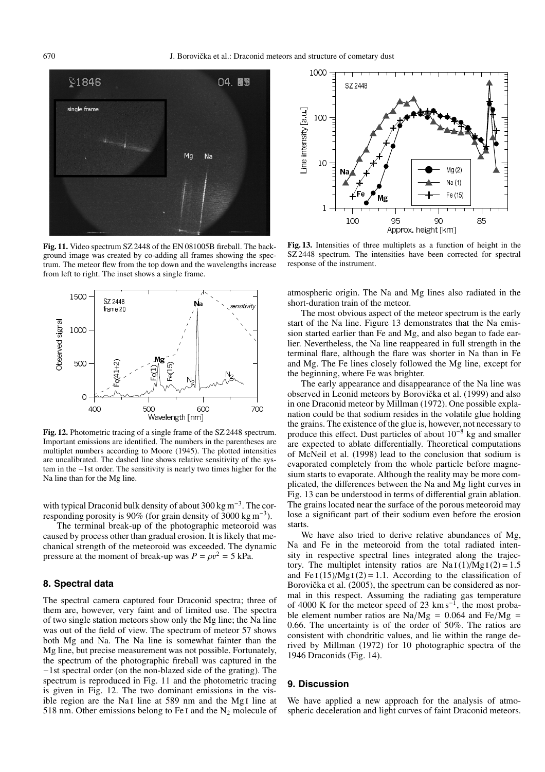

**Fig. 11.** Video spectrum SZ 2448 of the EN 081005B fireball. The background image was created by co-adding all frames showing the spectrum. The meteor flew from the top down and the wavelengths increase from left to right. The inset shows a single frame.



**Fig. 12.** Photometric tracing of a single frame of the SZ 2448 spectrum. Important emissions are identified. The numbers in the parentheses are multiplet numbers according to Moore (1945). The plotted intensities are uncalibrated. The dashed line shows relative sensitivity of the system in the −1st order. The sensitivity is nearly two times higher for the Na line than for the Mg line.

with typical Draconid bulk density of about 300 kg m<sup>-3</sup>. The corresponding porosity is 90% (for grain density of 3000 kg m<sup>-3</sup>).

The terminal break-up of the photographic meteoroid was caused by process other than gradual erosion. It is likely that mechanical strength of the meteoroid was exceeded. The dynamic pressure at the moment of break-up was  $P = \rho v^2 = 5$  kPa.

## **8. Spectral data**

The spectral camera captured four Draconid spectra; three of them are, however, very faint and of limited use. The spectra of two single station meteors show only the Mg line; the Na line was out of the field of view. The spectrum of meteor 57 shows both Mg and Na. The Na line is somewhat fainter than the Mg line, but precise measurement was not possible. Fortunately, the spectrum of the photographic fireball was captured in the −1st spectral order (on the non-blazed side of the grating). The spectrum is reproduced in Fig. 11 and the photometric tracing is given in Fig. 12. The two dominant emissions in the visible region are the Na<sub>I</sub> line at 589 nm and the Mg<sub>I</sub> line at 518 nm. Other emissions belong to Fe I and the  $N_2$  molecule of



**Fig. 13.** Intensities of three multiplets as a function of height in the SZ 2448 spectrum. The intensities have been corrected for spectral response of the instrument.

atmospheric origin. The Na and Mg lines also radiated in the short-duration train of the meteor.

The most obvious aspect of the meteor spectrum is the early start of the Na line. Figure 13 demonstrates that the Na emission started earlier than Fe and Mg, and also began to fade earlier. Nevertheless, the Na line reappeared in full strength in the terminal flare, although the flare was shorter in Na than in Fe and Mg. The Fe lines closely followed the Mg line, except for the beginning, where Fe was brighter.

The early appearance and disappearance of the Na line was observed in Leonid meteors by Borovička et al. (1999) and also in one Draconid meteor by Millman (1972). One possible explanation could be that sodium resides in the volatile glue holding the grains. The existence of the glue is, however, not necessary to produce this effect. Dust particles of about  $10^{-8}$  kg and smaller are expected to ablate differentially. Theoretical computations of McNeil et al. (1998) lead to the conclusion that sodium is evaporated completely from the whole particle before magnesium starts to evaporate. Although the reality may be more complicated, the differences between the Na and Mg light curves in Fig. 13 can be understood in terms of differential grain ablation. The grains located near the surface of the porous meteoroid may lose a significant part of their sodium even before the erosion starts.

We have also tried to derive relative abundances of Mg, Na and Fe in the meteoroid from the total radiated intensity in respective spectral lines integrated along the trajectory. The multiplet intensity ratios are  $Na I(1)/Mg I(2) = 1.5$ and Fe I(15)/Mg I(2) = 1.1. According to the classification of Borovička et al. (2005), the spectrum can be considered as normal in this respect. Assuming the radiating gas temperature of 4000 K for the meteor speed of 23 km s−1, the most probable element number ratios are Na/Mg =  $0.064$  and Fe/Mg = 0.66. The uncertainty is of the order of 50%. The ratios are consistent with chondritic values, and lie within the range derived by Millman (1972) for 10 photographic spectra of the 1946 Draconids (Fig. 14).

## **9. Discussion**

We have applied a new approach for the analysis of atmospheric deceleration and light curves of faint Draconid meteors.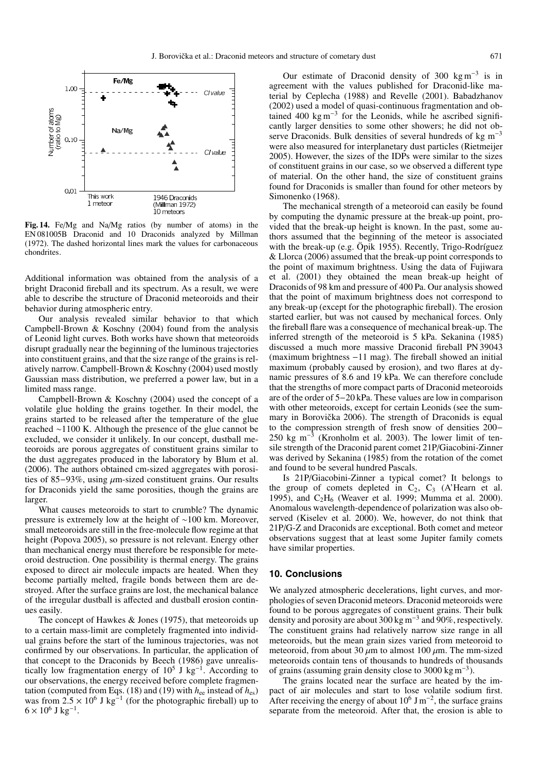

**Fig. 14.** Fe/Mg and Na/Mg ratios (by number of atoms) in the EN 081005B Draconid and 10 Draconids analyzed by Millman (1972). The dashed horizontal lines mark the values for carbonaceous chondrites.

Additional information was obtained from the analysis of a bright Draconid fireball and its spectrum. As a result, we were able to describe the structure of Draconid meteoroids and their behavior during atmospheric entry.

Our analysis revealed similar behavior to that which Campbell-Brown & Koschny (2004) found from the analysis of Leonid light curves. Both works have shown that meteoroids disrupt gradually near the beginning of the luminous trajectories into constituent grains, and that the size range of the grains is relatively narrow. Campbell-Brown & Koschny (2004) used mostly Gaussian mass distribution, we preferred a power law, but in a limited mass range.

Campbell-Brown & Koschny (2004) used the concept of a volatile glue holding the grains together. In their model, the grains started to be released after the temperature of the glue reached ∼1100 K. Although the presence of the glue cannot be excluded, we consider it unlikely. In our concept, dustball meteoroids are porous aggregates of constituent grains similar to the dust aggregates produced in the laboratory by Blum et al. (2006). The authors obtained cm-sized aggregates with porosities of 85–93%, using μm-sized constituent grains. Our results for Draconids yield the same porosities, though the grains are larger.

What causes meteoroids to start to crumble? The dynamic pressure is extremely low at the height of ∼100 km. Moreover, small meteoroids are still in the free-molecule flow regime at that height (Popova 2005), so pressure is not relevant. Energy other than mechanical energy must therefore be responsible for meteoroid destruction. One possibility is thermal energy. The grains exposed to direct air molecule impacts are heated. When they become partially melted, fragile bonds between them are destroyed. After the surface grains are lost, the mechanical balance of the irregular dustball is affected and dustball erosion continues easily.

The concept of Hawkes & Jones (1975), that meteoroids up to a certain mass-limit are completely fragmented into individual grains before the start of the luminous trajectories, was not confirmed by our observations. In particular, the application of that concept to the Draconids by Beech (1986) gave unrealistically low fragmentation energy of  $10^5$  J kg<sup>-1</sup>. According to our observations, the energy received before complete fragmentation (computed from Eqs. (18) and (19) with  $h_{ee}$  instead of  $h_{es}$ ) was from  $2.5 \times 10^6$  J kg<sup>-1</sup> (for the photographic fireball) up to  $6 \times 10^6$  J kg<sup>-1</sup>.

Our estimate of Draconid density of 300 kg m<sup>-3</sup> is in agreement with the values published for Draconid-like material by Ceplecha (1988) and Revelle (2001). Babadzhanov (2002) used a model of quasi-continuous fragmentation and obtained 400 kg m<sup>-3</sup> for the Leonids, while he ascribed significantly larger densities to some other showers; he did not observe Draconids. Bulk densities of several hundreds of kg  $m^{-3}$ were also measured for interplanetary dust particles (Rietmeijer 2005). However, the sizes of the IDPs were similar to the sizes of constituent grains in our case, so we observed a different type of material. On the other hand, the size of constituent grains found for Draconids is smaller than found for other meteors by Simonenko (1968).

The mechanical strength of a meteoroid can easily be found by computing the dynamic pressure at the break-up point, provided that the break-up height is known. In the past, some authors assumed that the beginning of the meteor is associated with the break-up (e.g. Öpik 1955). Recently, Trigo-Rodríguez & Llorca (2006) assumed that the break-up point corresponds to the point of maximum brightness. Using the data of Fujiwara et al. (2001) they obtained the mean break-up height of Draconids of 98 km and pressure of 400 Pa. Our analysis showed that the point of maximum brightness does not correspond to any break-up (except for the photographic fireball). The erosion started earlier, but was not caused by mechanical forces. Only the fireball flare was a consequence of mechanical break-up. The inferred strength of the meteoroid is 5 kPa. Sekanina (1985) discussed a much more massive Draconid fireball PN 39043 (maximum brightness −11 mag). The fireball showed an initial maximum (probably caused by erosion), and two flares at dynamic pressures of 8.6 and 19 kPa. We can therefore conclude that the strengths of more compact parts of Draconid meteoroids are of the order of 5−20 kPa. These values are low in comparison with other meteoroids, except for certain Leonids (see the summary in Borovička 2006). The strength of Draconids is equal to the compression strength of fresh snow of densities 200− 250 kg m<sup>-3</sup> (Kronholm et al. 2003). The lower limit of tensile strength of the Draconid parent comet 21P/Giacobini-Zinner was derived by Sekanina (1985) from the rotation of the comet and found to be several hundred Pascals.

Is 21P/Giacobini-Zinner a typical comet? It belongs to the group of comets depleted in  $C_2$ ,  $C_3$  (A'Hearn et al. 1995), and  $C_2H_6$  (Weaver et al. 1999; Mumma et al. 2000). Anomalous wavelength-dependence of polarization was also observed (Kiselev et al. 2000). We, however, do not think that 21P/G-Z and Draconids are exceptional. Both comet and meteor observations suggest that at least some Jupiter family comets have similar properties.

### **10. Conclusions**

We analyzed atmospheric decelerations, light curves, and morphologies of seven Draconid meteors. Draconid meteoroids were found to be porous aggregates of constituent grains. Their bulk density and porosity are about 300 kg m−<sup>3</sup> and 90%, respectively. The constituent grains had relatively narrow size range in all meteoroids, but the mean grain sizes varied from meteoroid to meteoroid, from about 30  $\mu$ m to almost 100  $\mu$ m. The mm-sized meteoroids contain tens of thousands to hundreds of thousands of grains (assuming grain density close to 3000 kg m<sup>-3</sup>).

The grains located near the surface are heated by the impact of air molecules and start to lose volatile sodium first. After receiving the energy of about  $10^6$  J m<sup>-2</sup>, the surface grains separate from the meteoroid. After that, the erosion is able to